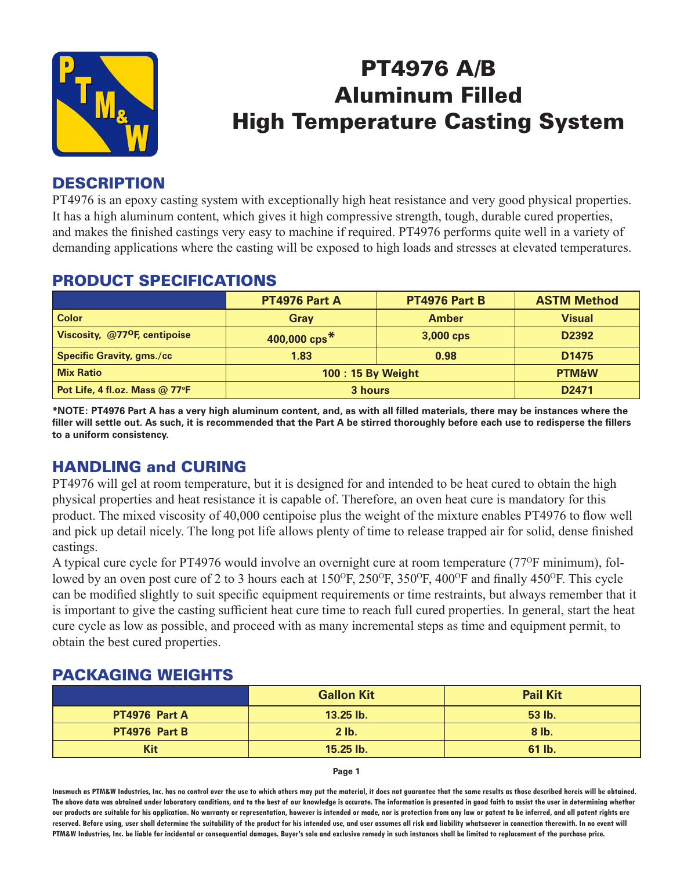

# PT4976 A/B Aluminum Filled High Temperature Casting System

## **DESCRIPTION**

PT4976 is an epoxy casting system with exceptionally high heat resistance and very good physical properties. It has a high aluminum content, which gives it high compressive strength, tough, durable cured properties, and makes the finished castings very easy to machine if required. PT4976 performs quite well in a variety of demanding applications where the casting will be exposed to high loads and stresses at elevated temperatures.

## PRODUCT SPECIFICATIONS

|                                               | PT4976 Part A          | PT4976 Part B | <b>ASTM Method</b> |
|-----------------------------------------------|------------------------|---------------|--------------------|
| <b>Color</b>                                  | Gray                   | <b>Amber</b>  | <b>Visual</b>      |
| Viscosity, @77 <sup>o</sup> F, centipoise     | 400,000 $\text{cps}^*$ | 3,000 cps     | D2392              |
| <b>Specific Gravity, gms./cc</b>              | 1.83                   | 0.98          | D <sub>1475</sub>  |
| <b>Mix Ratio</b>                              | 100: 15 By Weight      |               | <b>PTM&amp;W</b>   |
| Pot Life, 4 fl.oz. Mass $@$ 77 ${}^{\circ}$ F | 3 hours                |               | D <sub>2471</sub>  |

**\*NOTE: PT4976 Part A has a very high aluminum content, and, as with all filled materials, there may be instances where the filler will settle out. As such, it is recommended that the Part A be stirred thoroughly before each use to redisperse the fillers to a uniform consistency.**

# HANDLING and CURING

PT4976 will gel at room temperature, but it is designed for and intended to be heat cured to obtain the high physical properties and heat resistance it is capable of. Therefore, an oven heat cure is mandatory for this product. The mixed viscosity of 40,000 centipoise plus the weight of the mixture enables PT4976 to flow well and pick up detail nicely. The long pot life allows plenty of time to release trapped air for solid, dense finished castings.

A typical cure cycle for PT4976 would involve an overnight cure at room temperature (77<sup>o</sup>F minimum), followed by an oven post cure of 2 to 3 hours each at 150<sup>o</sup>F, 250<sup>o</sup>F, 350<sup>o</sup>F, 400<sup>o</sup>F and finally 450<sup>o</sup>F. This cycle can be modified slightly to suit specific equipment requirements or time restraints, but always remember that it is important to give the casting sufficient heat cure time to reach full cured properties. In general, start the heat cure cycle as low as possible, and proceed with as many incremental steps as time and equipment permit, to obtain the best cured properties.

# PACKAGING WEIGHTS

|               | <b>Gallon Kit</b> | <b>Pail Kit</b> |
|---------------|-------------------|-----------------|
| PT4976 Part A | 13.25 lb.         | 53 lb.          |
| PT4976 Part B | $2$ lb.           | $8$ lb.         |
| <b>Kit</b>    | 15.25 lb.         | 61 lb.          |

**Page 1**

**Inasmuch as PTM&W Industries, Inc. has no control over the use to which others may put the material, it does not guarantee that the same results as those described hereis will be obtained. The above data was obtained under laboratory conditions, and to the best of our knowledge is accurate. The information is presented in good faith to assist the user in determining whether our products are suitable for his application. No warranty or representation, however is intended or made, nor is protection from any law or patent to be inferred, and all patent rights are**  reserved. Before using, user shall determine the suitability of the product for his intended use, and user assumes all risk and liability whatsoever in connection therewith. In no event will **PTM&W Industries, Inc. be liable for incidental or consequential damages. Buyer's sole and exclusive remedy in such instances shall be limited to replacement of the purchase price.**